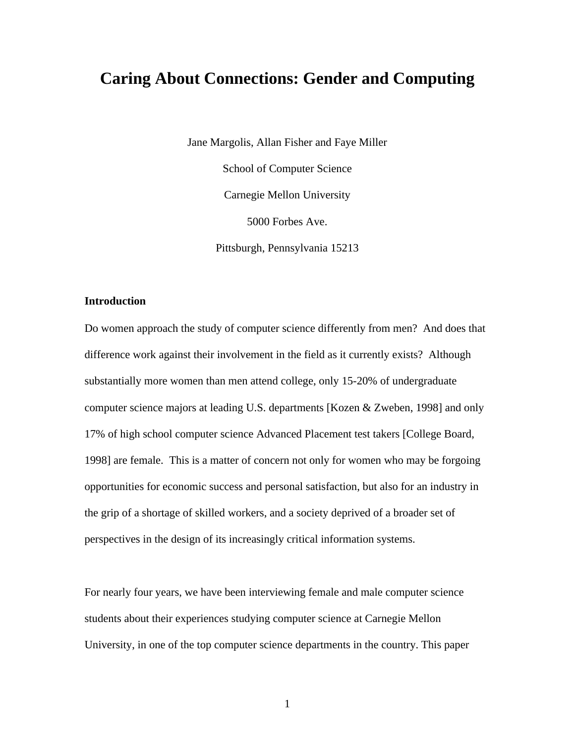# **Caring About Connections: Gender and Computing**

Jane Margolis, Allan Fisher and Faye Miller School of Computer Science Carnegie Mellon University 5000 Forbes Ave. Pittsburgh, Pennsylvania 15213

# **Introduction**

Do women approach the study of computer science differently from men? And does that difference work against their involvement in the field as it currently exists? Although substantially more women than men attend college, only 15-20% of undergraduate computer science majors at leading U.S. departments [Kozen & Zweben, 1998] and only 17% of high school computer science Advanced Placement test takers [College Board, 1998] are female. This is a matter of concern not only for women who may be forgoing opportunities for economic success and personal satisfaction, but also for an industry in the grip of a shortage of skilled workers, and a society deprived of a broader set of perspectives in the design of its increasingly critical information systems.

For nearly four years, we have been interviewing female and male computer science students about their experiences studying computer science at Carnegie Mellon University, in one of the top computer science departments in the country. This paper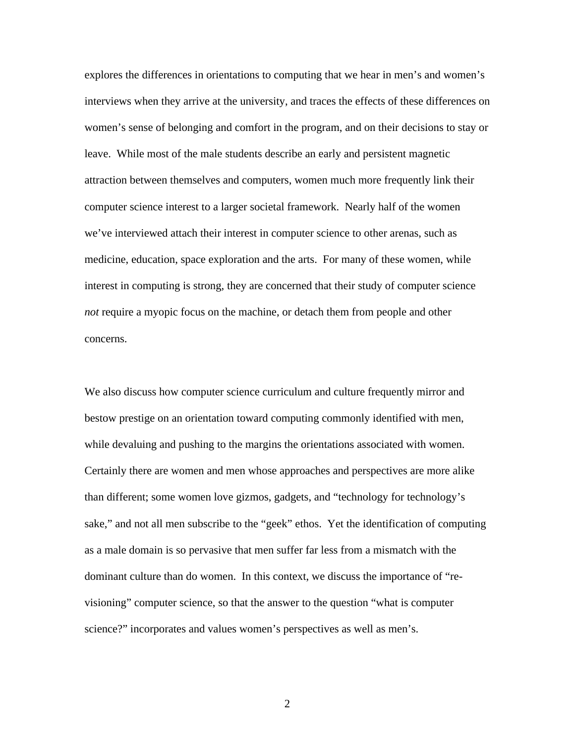explores the differences in orientations to computing that we hear in men's and women's interviews when they arrive at the university, and traces the effects of these differences on women's sense of belonging and comfort in the program, and on their decisions to stay or leave. While most of the male students describe an early and persistent magnetic attraction between themselves and computers, women much more frequently link their computer science interest to a larger societal framework. Nearly half of the women we've interviewed attach their interest in computer science to other arenas, such as medicine, education, space exploration and the arts. For many of these women, while interest in computing is strong, they are concerned that their study of computer science *not* require a myopic focus on the machine, or detach them from people and other concerns.

We also discuss how computer science curriculum and culture frequently mirror and bestow prestige on an orientation toward computing commonly identified with men, while devaluing and pushing to the margins the orientations associated with women. Certainly there are women and men whose approaches and perspectives are more alike than different; some women love gizmos, gadgets, and "technology for technology's sake," and not all men subscribe to the "geek" ethos. Yet the identification of computing as a male domain is so pervasive that men suffer far less from a mismatch with the dominant culture than do women. In this context, we discuss the importance of "revisioning" computer science, so that the answer to the question "what is computer science?" incorporates and values women's perspectives as well as men's.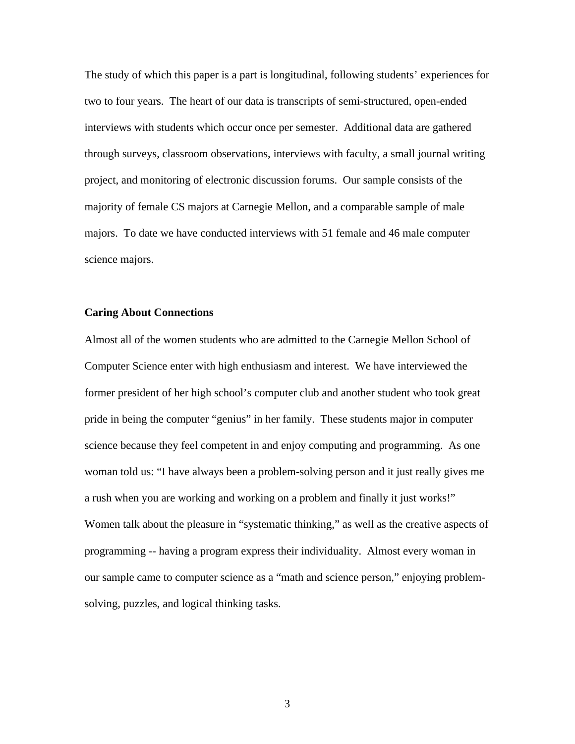The study of which this paper is a part is longitudinal, following students' experiences for two to four years. The heart of our data is transcripts of semi-structured, open-ended interviews with students which occur once per semester. Additional data are gathered through surveys, classroom observations, interviews with faculty, a small journal writing project, and monitoring of electronic discussion forums. Our sample consists of the majority of female CS majors at Carnegie Mellon, and a comparable sample of male majors. To date we have conducted interviews with 51 female and 46 male computer science majors.

## **Caring About Connections**

Almost all of the women students who are admitted to the Carnegie Mellon School of Computer Science enter with high enthusiasm and interest. We have interviewed the former president of her high school's computer club and another student who took great pride in being the computer "genius" in her family. These students major in computer science because they feel competent in and enjoy computing and programming. As one woman told us: "I have always been a problem-solving person and it just really gives me a rush when you are working and working on a problem and finally it just works!" Women talk about the pleasure in "systematic thinking," as well as the creative aspects of programming -- having a program express their individuality. Almost every woman in our sample came to computer science as a "math and science person," enjoying problemsolving, puzzles, and logical thinking tasks.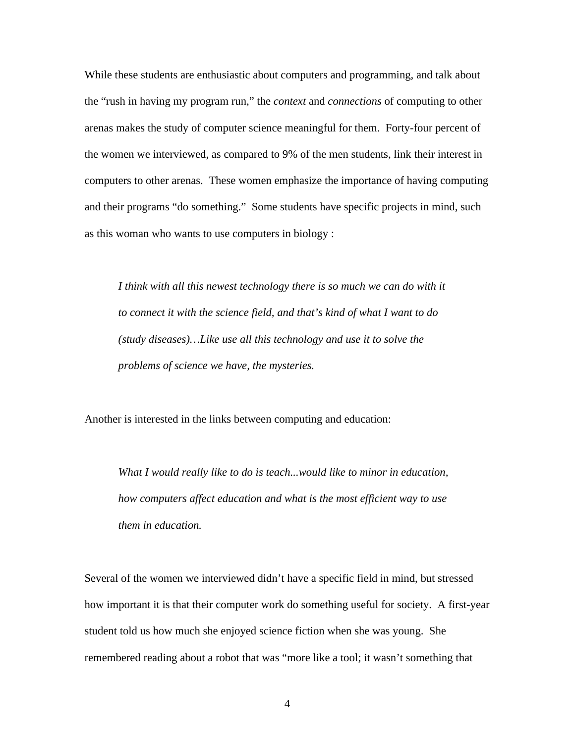While these students are enthusiastic about computers and programming, and talk about the "rush in having my program run," the *context* and *connections* of computing to other arenas makes the study of computer science meaningful for them. Forty-four percent of the women we interviewed, as compared to 9% of the men students, link their interest in computers to other arenas. These women emphasize the importance of having computing and their programs "do something." Some students have specific projects in mind, such as this woman who wants to use computers in biology :

*I think with all this newest technology there is so much we can do with it to connect it with the science field, and that's kind of what I want to do (study diseases)…Like use all this technology and use it to solve the problems of science we have, the mysteries.*

Another is interested in the links between computing and education:

*What I would really like to do is teach...would like to minor in education, how computers affect education and what is the most efficient way to use them in education.*

Several of the women we interviewed didn't have a specific field in mind, but stressed how important it is that their computer work do something useful for society. A first-year student told us how much she enjoyed science fiction when she was young. She remembered reading about a robot that was "more like a tool; it wasn't something that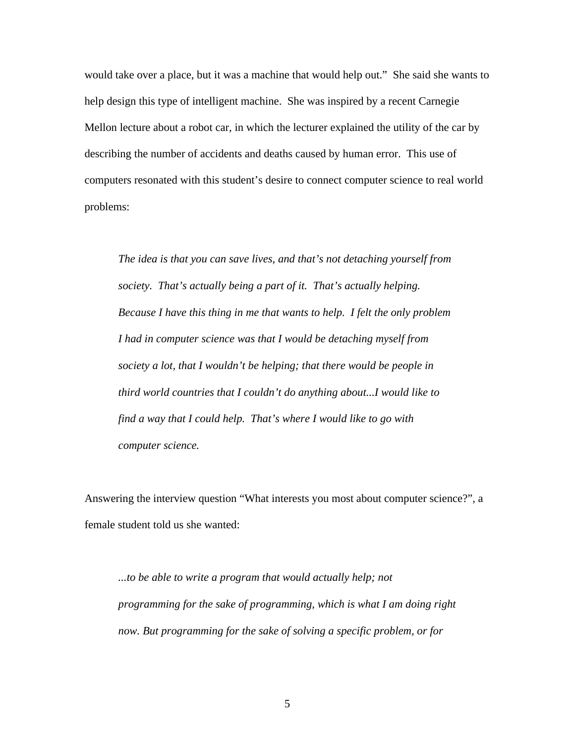would take over a place, but it was a machine that would help out." She said she wants to help design this type of intelligent machine. She was inspired by a recent Carnegie Mellon lecture about a robot car, in which the lecturer explained the utility of the car by describing the number of accidents and deaths caused by human error. This use of computers resonated with this student's desire to connect computer science to real world problems:

*The idea is that you can save lives, and that's not detaching yourself from society. That's actually being a part of it. That's actually helping. Because I have this thing in me that wants to help. I felt the only problem I had in computer science was that I would be detaching myself from society a lot, that I wouldn't be helping; that there would be people in third world countries that I couldn't do anything about...I would like to find a way that I could help. That's where I would like to go with computer science.*

Answering the interview question "What interests you most about computer science?", a female student told us she wanted:

*...to be able to write a program that would actually help; not programming for the sake of programming, which is what I am doing right now. But programming for the sake of solving a specific problem, or for*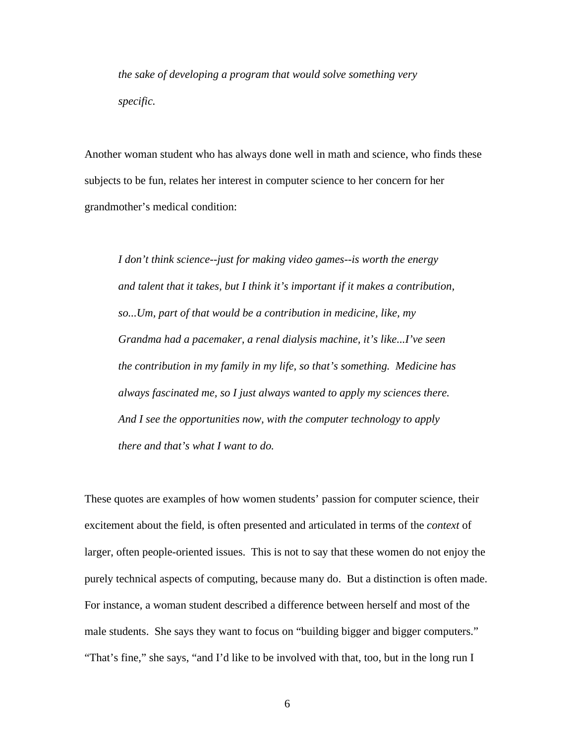*the sake of developing a program that would solve something very specific.*

Another woman student who has always done well in math and science, who finds these subjects to be fun, relates her interest in computer science to her concern for her grandmother's medical condition:

*I don't think science--just for making video games--is worth the energy and talent that it takes, but I think it's important if it makes a contribution, so...Um, part of that would be a contribution in medicine, like, my Grandma had a pacemaker, a renal dialysis machine, it's like...I've seen the contribution in my family in my life, so that's something. Medicine has always fascinated me, so I just always wanted to apply my sciences there. And I see the opportunities now, with the computer technology to apply there and that's what I want to do.*

These quotes are examples of how women students' passion for computer science, their excitement about the field, is often presented and articulated in terms of the *context* of larger, often people-oriented issues. This is not to say that these women do not enjoy the purely technical aspects of computing, because many do. But a distinction is often made. For instance, a woman student described a difference between herself and most of the male students. She says they want to focus on "building bigger and bigger computers." "That's fine," she says, "and I'd like to be involved with that, too, but in the long run I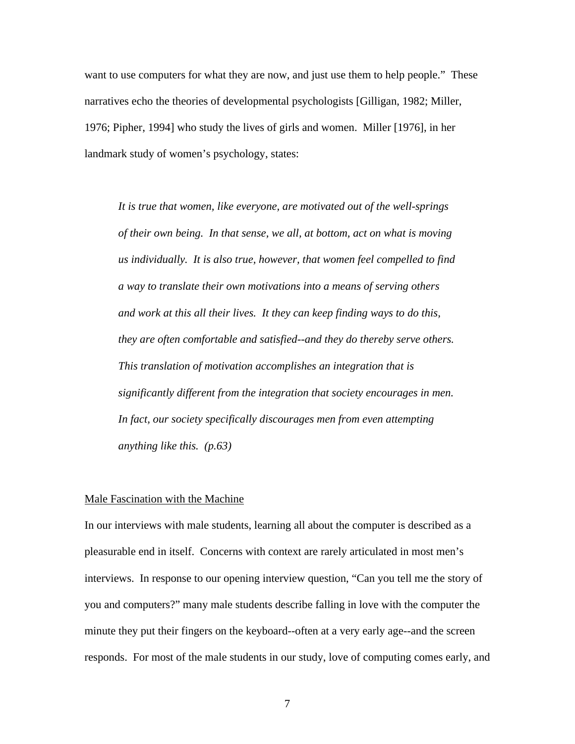want to use computers for what they are now, and just use them to help people." These narratives echo the theories of developmental psychologists [Gilligan, 1982; Miller, 1976; Pipher, 1994] who study the lives of girls and women. Miller [1976], in her landmark study of women's psychology, states:

*It is true that women, like everyone, are motivated out of the well-springs of their own being. In that sense, we all, at bottom, act on what is moving us individually. It is also true, however, that women feel compelled to find a way to translate their own motivations into a means of serving others and work at this all their lives. It they can keep finding ways to do this, they are often comfortable and satisfied--and they do thereby serve others. This translation of motivation accomplishes an integration that is significantly different from the integration that society encourages in men. In fact, our society specifically discourages men from even attempting anything like this. (p.63)*

#### Male Fascination with the Machine

In our interviews with male students, learning all about the computer is described as a pleasurable end in itself. Concerns with context are rarely articulated in most men's interviews. In response to our opening interview question, "Can you tell me the story of you and computers?" many male students describe falling in love with the computer the minute they put their fingers on the keyboard--often at a very early age--and the screen responds. For most of the male students in our study, love of computing comes early, and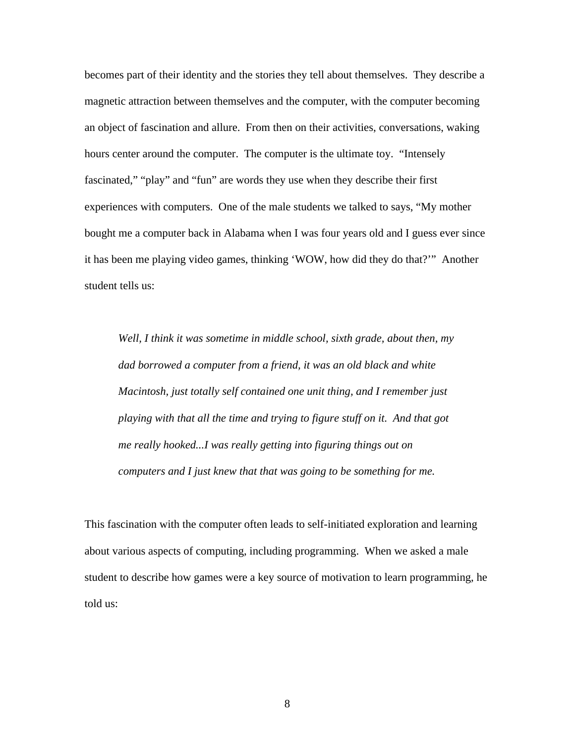becomes part of their identity and the stories they tell about themselves. They describe a magnetic attraction between themselves and the computer, with the computer becoming an object of fascination and allure. From then on their activities, conversations, waking hours center around the computer. The computer is the ultimate toy. "Intensely fascinated," "play" and "fun" are words they use when they describe their first experiences with computers. One of the male students we talked to says, "My mother bought me a computer back in Alabama when I was four years old and I guess ever since it has been me playing video games, thinking 'WOW, how did they do that?'" Another student tells us:

*Well, I think it was sometime in middle school, sixth grade, about then, my dad borrowed a computer from a friend, it was an old black and white Macintosh, just totally self contained one unit thing, and I remember just playing with that all the time and trying to figure stuff on it. And that got me really hooked...I was really getting into figuring things out on computers and I just knew that that was going to be something for me.*

This fascination with the computer often leads to self-initiated exploration and learning about various aspects of computing, including programming. When we asked a male student to describe how games were a key source of motivation to learn programming, he told us: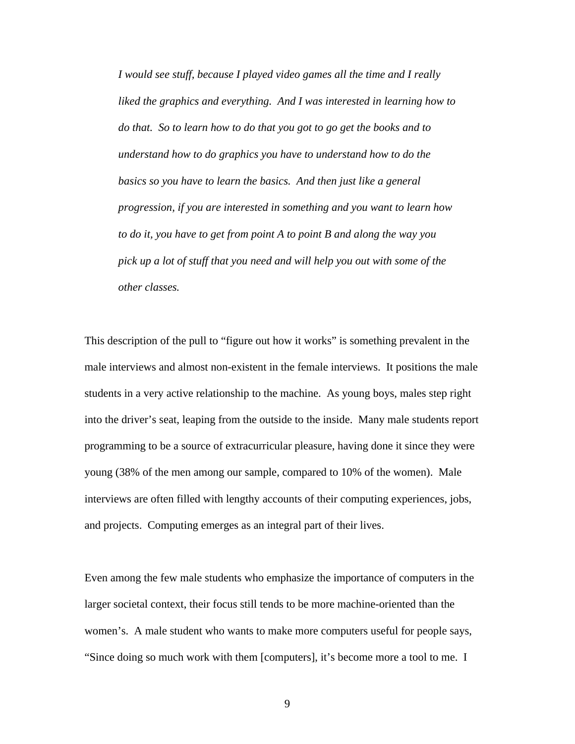*I would see stuff, because I played video games all the time and I really liked the graphics and everything. And I was interested in learning how to do that. So to learn how to do that you got to go get the books and to understand how to do graphics you have to understand how to do the basics so you have to learn the basics. And then just like a general progression, if you are interested in something and you want to learn how to do it, you have to get from point A to point B and along the way you pick up a lot of stuff that you need and will help you out with some of the other classes.*

This description of the pull to "figure out how it works" is something prevalent in the male interviews and almost non-existent in the female interviews. It positions the male students in a very active relationship to the machine. As young boys, males step right into the driver's seat, leaping from the outside to the inside. Many male students report programming to be a source of extracurricular pleasure, having done it since they were young (38% of the men among our sample, compared to 10% of the women). Male interviews are often filled with lengthy accounts of their computing experiences, jobs, and projects. Computing emerges as an integral part of their lives.

Even among the few male students who emphasize the importance of computers in the larger societal context, their focus still tends to be more machine-oriented than the women's. A male student who wants to make more computers useful for people says, "Since doing so much work with them [computers], it's become more a tool to me. I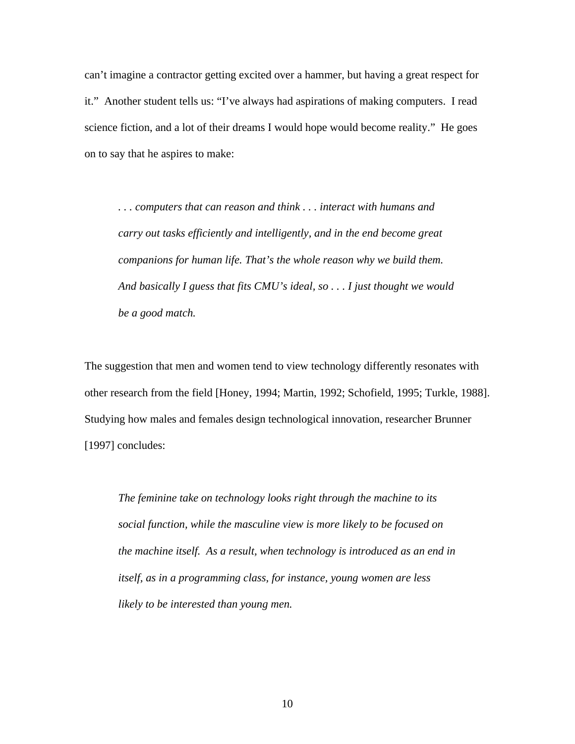can't imagine a contractor getting excited over a hammer, but having a great respect for it." Another student tells us: "I've always had aspirations of making computers. I read science fiction, and a lot of their dreams I would hope would become reality." He goes on to say that he aspires to make:

*. . . computers that can reason and think . . . interact with humans and carry out tasks efficiently and intelligently, and in the end become great companions for human life. That's the whole reason why we build them. And basically I guess that fits CMU's ideal, so . . . I just thought we would be a good match.*

The suggestion that men and women tend to view technology differently resonates with other research from the field [Honey, 1994; Martin, 1992; Schofield, 1995; Turkle, 1988]. Studying how males and females design technological innovation, researcher Brunner [1997] concludes:

*The feminine take on technology looks right through the machine to its social function, while the masculine view is more likely to be focused on the machine itself. As a result, when technology is introduced as an end in itself, as in a programming class, for instance, young women are less likely to be interested than young men.*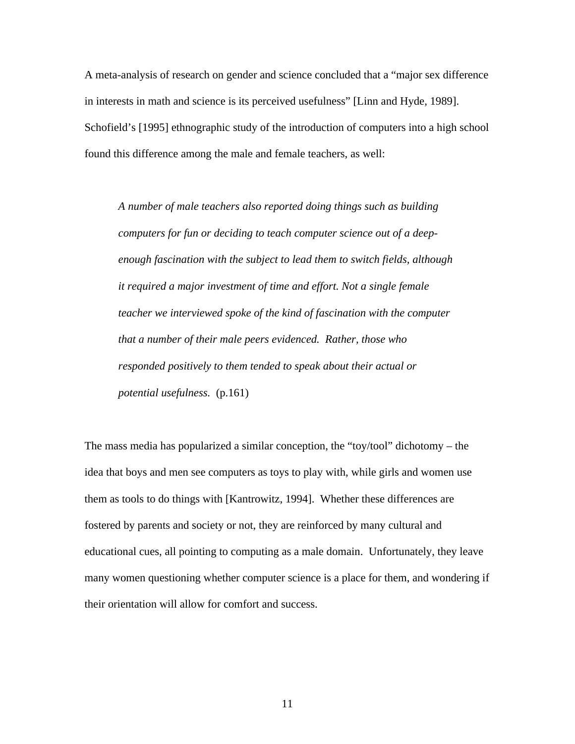A meta-analysis of research on gender and science concluded that a "major sex difference in interests in math and science is its perceived usefulness" [Linn and Hyde, 1989]. Schofield's [1995] ethnographic study of the introduction of computers into a high school found this difference among the male and female teachers, as well:

*A number of male teachers also reported doing things such as building computers for fun or deciding to teach computer science out of a deepenough fascination with the subject to lead them to switch fields, although it required a major investment of time and effort. Not a single female teacher we interviewed spoke of the kind of fascination with the computer that a number of their male peers evidenced. Rather, those who responded positively to them tended to speak about their actual or potential usefulness.* (p.161)

The mass media has popularized a similar conception, the "toy/tool" dichotomy – the idea that boys and men see computers as toys to play with, while girls and women use them as tools to do things with [Kantrowitz, 1994]. Whether these differences are fostered by parents and society or not, they are reinforced by many cultural and educational cues, all pointing to computing as a male domain. Unfortunately, they leave many women questioning whether computer science is a place for them, and wondering if their orientation will allow for comfort and success.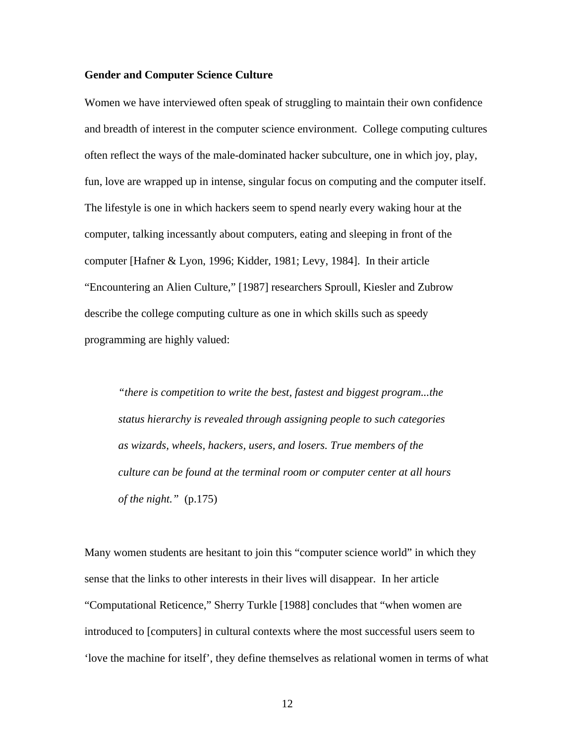#### **Gender and Computer Science Culture**

Women we have interviewed often speak of struggling to maintain their own confidence and breadth of interest in the computer science environment. College computing cultures often reflect the ways of the male-dominated hacker subculture, one in which joy, play, fun, love are wrapped up in intense, singular focus on computing and the computer itself. The lifestyle is one in which hackers seem to spend nearly every waking hour at the computer, talking incessantly about computers, eating and sleeping in front of the computer [Hafner & Lyon, 1996; Kidder, 1981; Levy, 1984]. In their article "Encountering an Alien Culture," [1987] researchers Sproull, Kiesler and Zubrow describe the college computing culture as one in which skills such as speedy programming are highly valued:

*"there is competition to write the best, fastest and biggest program...the status hierarchy is revealed through assigning people to such categories as wizards, wheels, hackers, users, and losers. True members of the culture can be found at the terminal room or computer center at all hours of the night."* (p.175)

Many women students are hesitant to join this "computer science world" in which they sense that the links to other interests in their lives will disappear. In her article "Computational Reticence," Sherry Turkle [1988] concludes that "when women are introduced to [computers] in cultural contexts where the most successful users seem to 'love the machine for itself', they define themselves as relational women in terms of what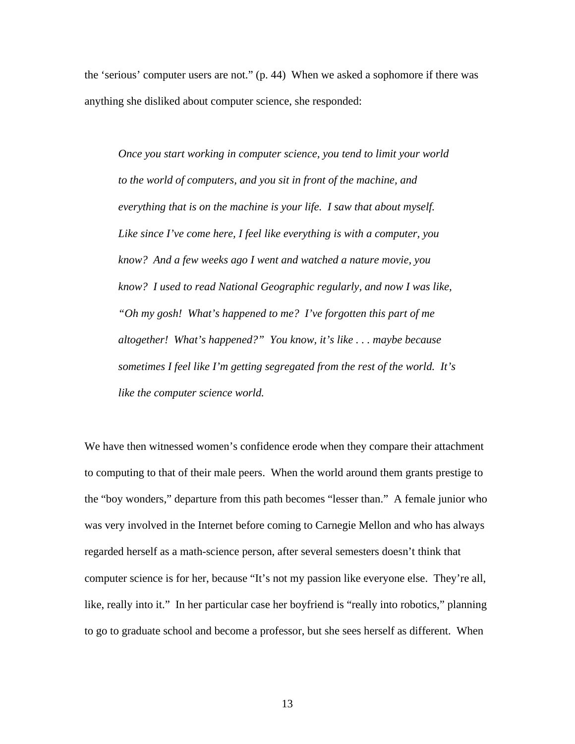the 'serious' computer users are not." (p. 44) When we asked a sophomore if there was anything she disliked about computer science, she responded:

*Once you start working in computer science, you tend to limit your world to the world of computers, and you sit in front of the machine, and everything that is on the machine is your life. I saw that about myself. Like since I've come here, I feel like everything is with a computer, you know? And a few weeks ago I went and watched a nature movie, you know? I used to read National Geographic regularly, and now I was like, "Oh my gosh! What's happened to me? I've forgotten this part of me altogether! What's happened?" You know, it's like . . . maybe because sometimes I feel like I'm getting segregated from the rest of the world. It's like the computer science world.*

We have then witnessed women's confidence erode when they compare their attachment to computing to that of their male peers. When the world around them grants prestige to the "boy wonders," departure from this path becomes "lesser than." A female junior who was very involved in the Internet before coming to Carnegie Mellon and who has always regarded herself as a math-science person, after several semesters doesn't think that computer science is for her, because "It's not my passion like everyone else. They're all, like, really into it." In her particular case her boyfriend is "really into robotics," planning to go to graduate school and become a professor, but she sees herself as different. When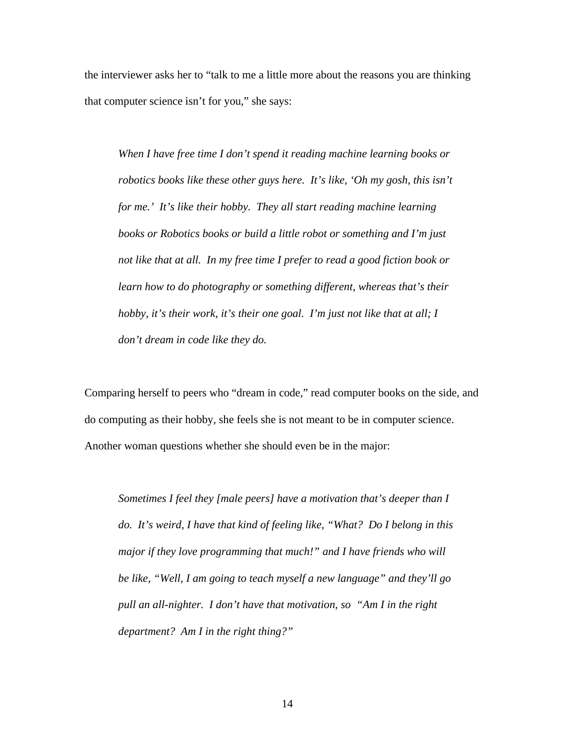the interviewer asks her to "talk to me a little more about the reasons you are thinking that computer science isn't for you," she says:

*When I have free time I don't spend it reading machine learning books or robotics books like these other guys here. It's like, 'Oh my gosh, this isn't for me.' It's like their hobby. They all start reading machine learning books or Robotics books or build a little robot or something and I'm just not like that at all. In my free time I prefer to read a good fiction book or learn how to do photography or something different, whereas that's their hobby, it's their work, it's their one goal. I'm just not like that at all; I don't dream in code like they do.*

Comparing herself to peers who "dream in code," read computer books on the side, and do computing as their hobby, she feels she is not meant to be in computer science. Another woman questions whether she should even be in the major:

*Sometimes I feel they [male peers] have a motivation that's deeper than I do. It's weird, I have that kind of feeling like, "What? Do I belong in this major if they love programming that much!" and I have friends who will be like, "Well, I am going to teach myself a new language" and they'll go pull an all-nighter. I don't have that motivation, so "Am I in the right department? Am I in the right thing?"*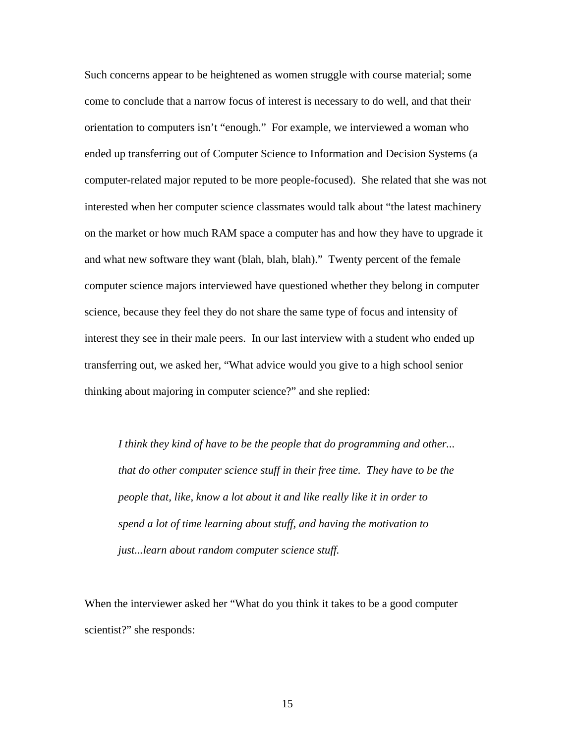Such concerns appear to be heightened as women struggle with course material; some come to conclude that a narrow focus of interest is necessary to do well, and that their orientation to computers isn't "enough." For example, we interviewed a woman who ended up transferring out of Computer Science to Information and Decision Systems (a computer-related major reputed to be more people-focused). She related that she was not interested when her computer science classmates would talk about "the latest machinery on the market or how much RAM space a computer has and how they have to upgrade it and what new software they want (blah, blah, blah)." Twenty percent of the female computer science majors interviewed have questioned whether they belong in computer science, because they feel they do not share the same type of focus and intensity of interest they see in their male peers.In our last interview with a student who ended up transferring out, we asked her, "What advice would you give to a high school senior thinking about majoring in computer science?" and she replied:

*I think they kind of have to be the people that do programming and other... that do other computer science stuff in their free time. They have to be the people that, like, know a lot about it and like really like it in order to spend a lot of time learning about stuff, and having the motivation to just...learn about random computer science stuff.*

When the interviewer asked her "What do you think it takes to be a good computer scientist?" she responds: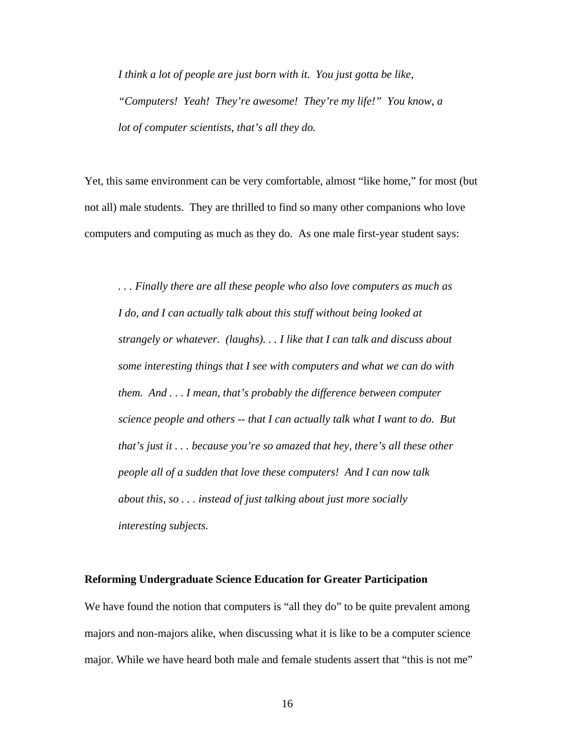*I think a lot of people are just born with it. You just gotta be like, "Computers! Yeah! They're awesome! They're my life!" You know, a lot of computer scientists, that's all they do.*

Yet, this same environment can be very comfortable, almost "like home," for most (but not all) male students. They are thrilled to find so many other companions who love computers and computing as much as they do. As one male first-year student says:

*. . . Finally there are all these people who also love computers as much as I do, and I can actually talk about this stuff without being looked at strangely or whatever. (laughs). . . I like that I can talk and discuss about some interesting things that I see with computers and what we can do with them. And . . . I mean, that's probably the difference between computer science people and others -- that I can actually talk what I want to do. But that's just it . . . because you're so amazed that hey, there's all these other people all of a sudden that love these computers! And I can now talk about this, so . . . instead of just talking about just more socially interesting subjects.*

#### **Reforming Undergraduate Science Education for Greater Participation**

We have found the notion that computers is "all they do" to be quite prevalent among majors and non-majors alike, when discussing what it is like to be a computer science major. While we have heard both male and female students assert that "this is not me"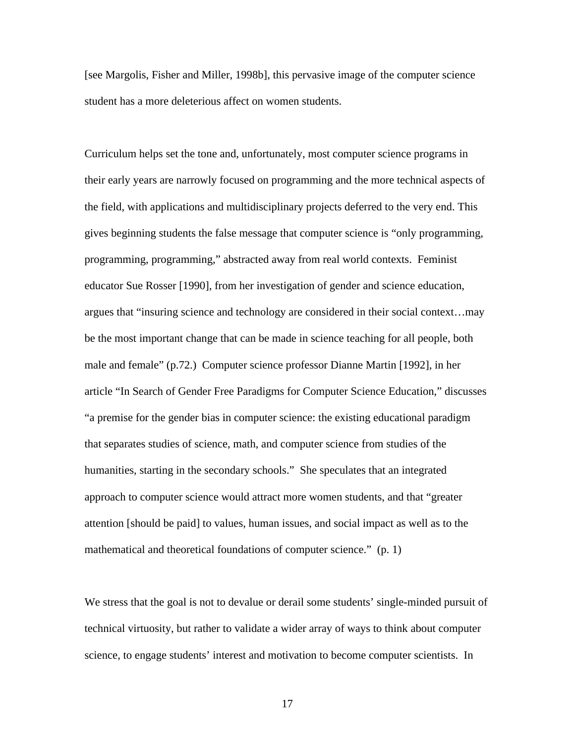[see Margolis, Fisher and Miller, 1998b], this pervasive image of the computer science student has a more deleterious affect on women students.

Curriculum helps set the tone and, unfortunately, most computer science programs in their early years are narrowly focused on programming and the more technical aspects of the field, with applications and multidisciplinary projects deferred to the very end. This gives beginning students the false message that computer science is "only programming, programming, programming," abstracted away from real world contexts. Feminist educator Sue Rosser [1990], from her investigation of gender and science education, argues that "insuring science and technology are considered in their social context…may be the most important change that can be made in science teaching for all people, both male and female" (p.72.) Computer science professor Dianne Martin [1992], in her article "In Search of Gender Free Paradigms for Computer Science Education," discusses "a premise for the gender bias in computer science: the existing educational paradigm that separates studies of science, math, and computer science from studies of the humanities, starting in the secondary schools." She speculates that an integrated approach to computer science would attract more women students, and that "greater attention [should be paid] to values, human issues, and social impact as well as to the mathematical and theoretical foundations of computer science." (p. 1)

We stress that the goal is not to devalue or derail some students' single-minded pursuit of technical virtuosity, but rather to validate a wider array of ways to think about computer science, to engage students' interest and motivation to become computer scientists. In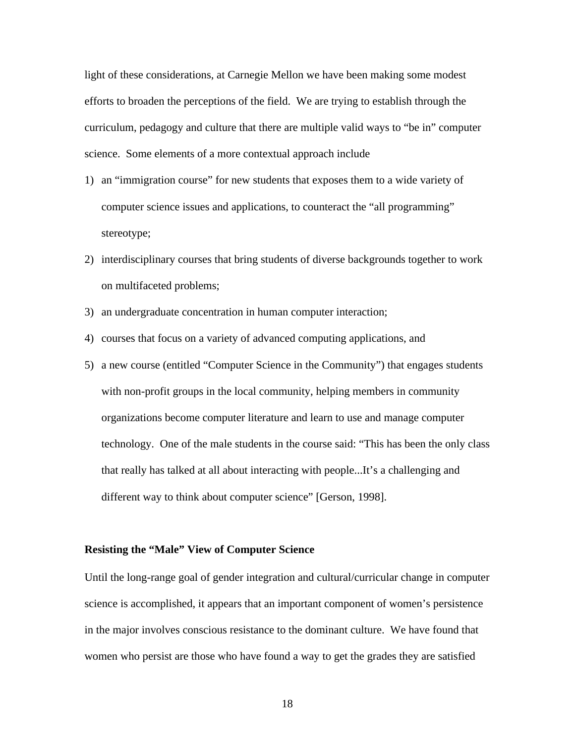light of these considerations, at Carnegie Mellon we have been making some modest efforts to broaden the perceptions of the field. We are trying to establish through the curriculum, pedagogy and culture that there are multiple valid ways to "be in" computer science. Some elements of a more contextual approach include

- 1) an "immigration course" for new students that exposes them to a wide variety of computer science issues and applications, to counteract the "all programming" stereotype;
- 2) interdisciplinary courses that bring students of diverse backgrounds together to work on multifaceted problems;
- 3) an undergraduate concentration in human computer interaction;
- 4) courses that focus on a variety of advanced computing applications, and
- 5) a new course (entitled "Computer Science in the Community") that engages students with non-profit groups in the local community, helping members in community organizations become computer literature and learn to use and manage computer technology. One of the male students in the course said: "This has been the only class that really has talked at all about interacting with people...It's a challenging and different way to think about computer science" [Gerson, 1998].

## **Resisting the "Male" View of Computer Science**

Until the long-range goal of gender integration and cultural/curricular change in computer science is accomplished, it appears that an important component of women's persistence in the major involves conscious resistance to the dominant culture. We have found that women who persist are those who have found a way to get the grades they are satisfied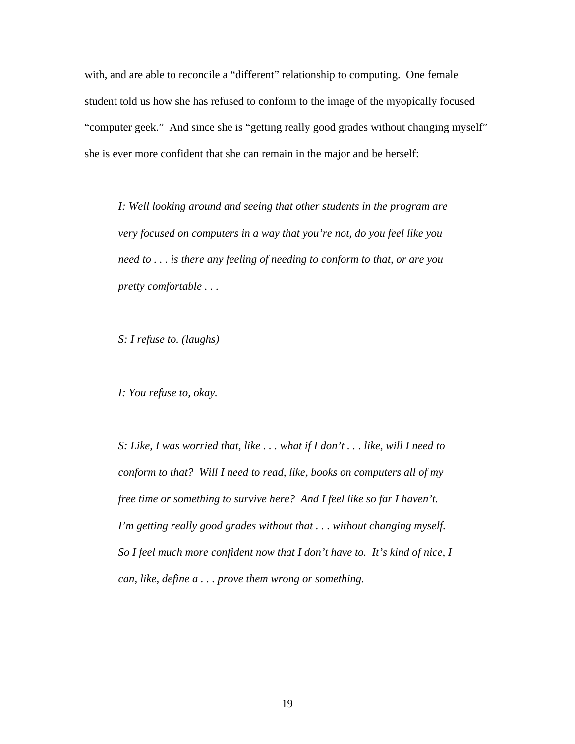with, and are able to reconcile a "different" relationship to computing. One female student told us how she has refused to conform to the image of the myopically focused "computer geek." And since she is "getting really good grades without changing myself" she is ever more confident that she can remain in the major and be herself:

*I: Well looking around and seeing that other students in the program are very focused on computers in a way that you're not, do you feel like you need to . . . is there any feeling of needing to conform to that, or are you pretty comfortable . . .*

*S: I refuse to. (laughs)*

*I: You refuse to, okay.*

*S: Like, I was worried that, like . . . what if I don't . . . like, will I need to conform to that? Will I need to read, like, books on computers all of my free time or something to survive here? And I feel like so far I haven't. I'm getting really good grades without that . . . without changing myself. So I feel much more confident now that I don't have to. It's kind of nice, I can, like, define a . . . prove them wrong or something.*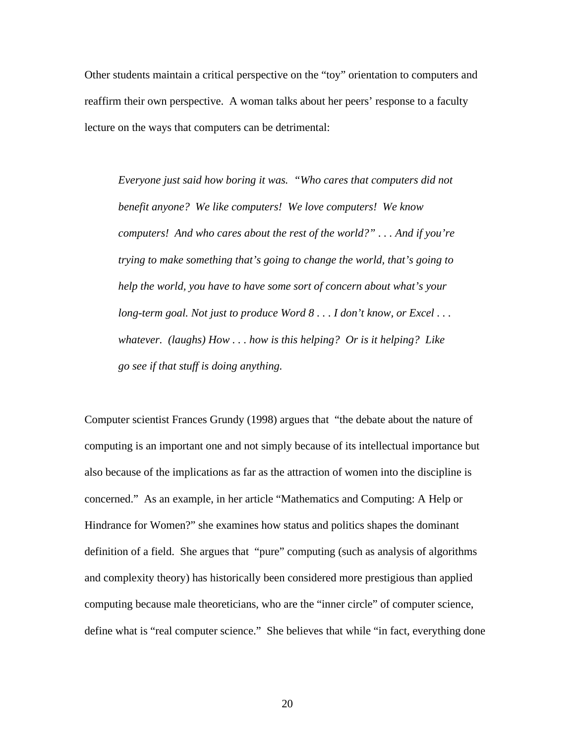Other students maintain a critical perspective on the "toy" orientation to computers and reaffirm their own perspective. A woman talks about her peers' response to a faculty lecture on the ways that computers can be detrimental:

*Everyone just said how boring it was. "Who cares that computers did not benefit anyone? We like computers! We love computers! We know computers! And who cares about the rest of the world?" . . . And if you're trying to make something that's going to change the world, that's going to help the world, you have to have some sort of concern about what's your long-term goal. Not just to produce Word 8 . . . I don't know, or Excel . . . whatever. (laughs) How . . . how is this helping? Or is it helping? Like go see if that stuff is doing anything.*

Computer scientist Frances Grundy (1998) argues that "the debate about the nature of computing is an important one and not simply because of its intellectual importance but also because of the implications as far as the attraction of women into the discipline is concerned." As an example, in her article "Mathematics and Computing: A Help or Hindrance for Women?" she examines how status and politics shapes the dominant definition of a field. She argues that "pure" computing (such as analysis of algorithms and complexity theory) has historically been considered more prestigious than applied computing because male theoreticians, who are the "inner circle" of computer science, define what is "real computer science." She believes that while "in fact, everything done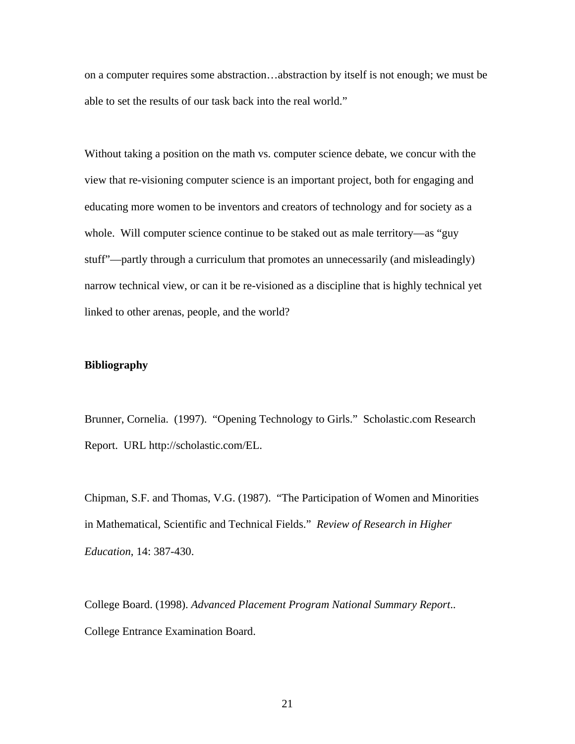on a computer requires some abstraction…abstraction by itself is not enough; we must be able to set the results of our task back into the real world."

Without taking a position on the math vs. computer science debate, we concur with the view that re-visioning computer science is an important project, both for engaging and educating more women to be inventors and creators of technology and for society as a whole. Will computer science continue to be staked out as male territory—as "guy stuff"—partly through a curriculum that promotes an unnecessarily (and misleadingly) narrow technical view, or can it be re-visioned as a discipline that is highly technical yet linked to other arenas, people, and the world?

## **Bibliography**

Brunner, Cornelia. (1997). "Opening Technology to Girls." Scholastic.com Research Report. URL http://scholastic.com/EL.

Chipman, S.F. and Thomas, V.G. (1987). "The Participation of Women and Minorities in Mathematical, Scientific and Technical Fields." *Review of Research in Higher Education*, 14: 387-430.

College Board. (1998). *Advanced Placement Program National Summary Report*.. College Entrance Examination Board.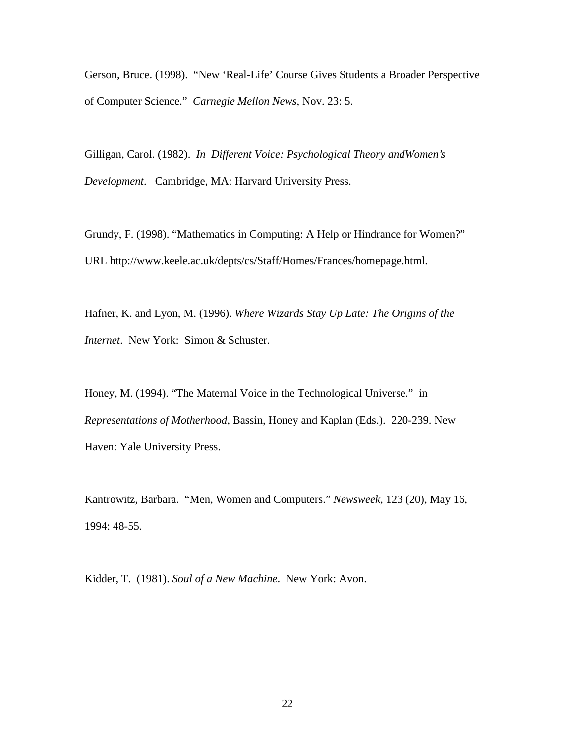Gerson, Bruce. (1998). "New 'Real-Life' Course Gives Students a Broader Perspective of Computer Science." *Carnegie Mellon News*, Nov. 23: 5.

Gilligan, Carol. (1982). *In Different Voice: Psychological Theory andWomen's Development*. Cambridge, MA: Harvard University Press.

Grundy, F. (1998). "Mathematics in Computing: A Help or Hindrance for Women?" URL http://www.keele.ac.uk/depts/cs/Staff/Homes/Frances/homepage.html.

Hafner, K. and Lyon, M. (1996). *Where Wizards Stay Up Late: The Origins of the Internet*. New York: Simon & Schuster.

Honey, M. (1994). "The Maternal Voice in the Technological Universe." in *Representations of Motherhood*, Bassin, Honey and Kaplan (Eds.). 220-239. New Haven: Yale University Press.

Kantrowitz, Barbara. "Men, Women and Computers." *Newsweek*, 123 (20), May 16, 1994: 48-55.

Kidder, T. (1981). *Soul of a New Machine*. New York: Avon.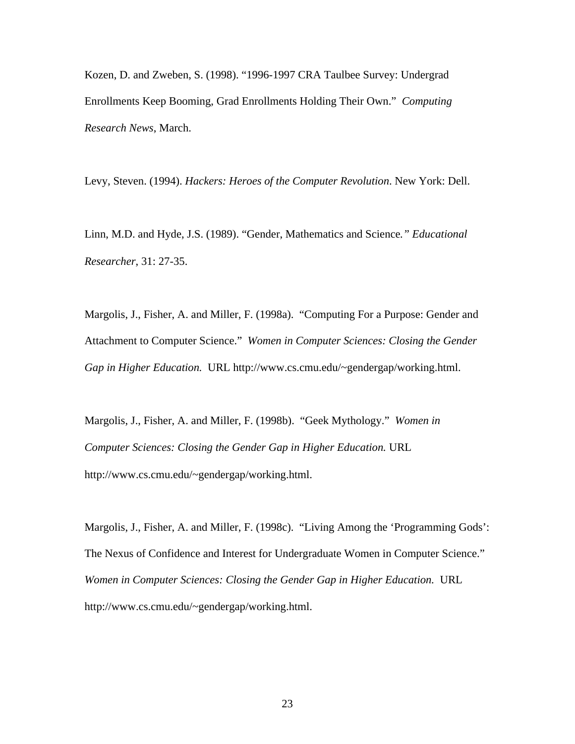Kozen, D. and Zweben, S. (1998). "1996-1997 CRA Taulbee Survey: Undergrad Enrollments Keep Booming, Grad Enrollments Holding Their Own." *Computing Research News*, March.

Levy, Steven. (1994). *Hackers: Heroes of the Computer Revolution*. New York: Dell.

Linn, M.D. and Hyde, J.S. (1989). "Gender, Mathematics and Science*." Educational Researcher*, 31: 27-35.

Margolis, J., Fisher, A. and Miller, F. (1998a). "Computing For a Purpose: Gender and Attachment to Computer Science." *Women in Computer Sciences: Closing the Gender Gap in Higher Education.* URL http://www.cs.cmu.edu/~gendergap/working.html.

Margolis, J., Fisher, A. and Miller, F. (1998b). "Geek Mythology." *Women in Computer Sciences: Closing the Gender Gap in Higher Education.* URL http://www.cs.cmu.edu/~gendergap/working.html.

Margolis, J., Fisher, A. and Miller, F. (1998c). "Living Among the 'Programming Gods': The Nexus of Confidence and Interest for Undergraduate Women in Computer Science." *Women in Computer Sciences: Closing the Gender Gap in Higher Education.* URL http://www.cs.cmu.edu/~gendergap/working.html.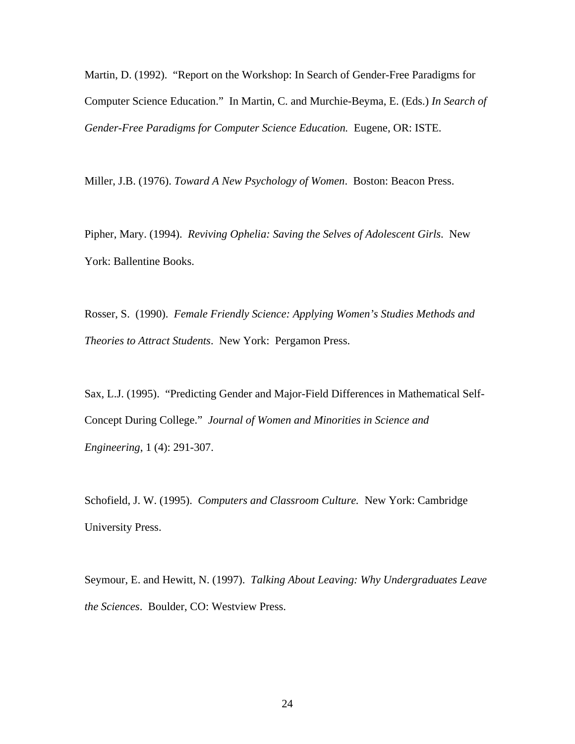Martin, D. (1992). "Report on the Workshop: In Search of Gender-Free Paradigms for Computer Science Education." In Martin, C. and Murchie-Beyma, E. (Eds.) *In Search of Gender-Free Paradigms for Computer Science Education.* Eugene, OR: ISTE.

Miller, J.B. (1976). *Toward A New Psychology of Women*. Boston: Beacon Press.

Pipher, Mary. (1994). *Reviving Ophelia: Saving the Selves of Adolescent Girls*. New York: Ballentine Books.

Rosser, S. (1990). *Female Friendly Science: Applying Women's Studies Methods and Theories to Attract Students*. New York: Pergamon Press.

Sax, L.J. (1995). "Predicting Gender and Major-Field Differences in Mathematical Self-Concept During College." *Journal of Women and Minorities in Science and Engineering*, 1 (4): 291-307.

Schofield, J. W. (1995). *Computers and Classroom Culture.* New York: Cambridge University Press.

Seymour, E. and Hewitt, N. (1997). *Talking About Leaving: Why Undergraduates Leave the Sciences*. Boulder, CO: Westview Press.